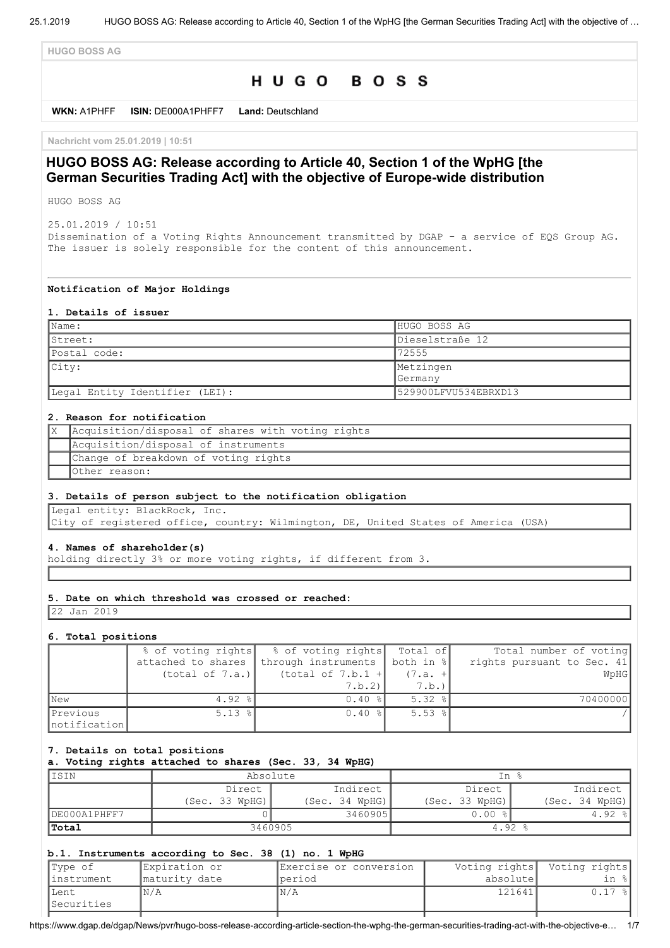**HUGO BOSS AG**

# HUGO BOSS

**WKN:** A1PHFF **ISIN:** DE000A1PHFF7 **Land:** Deutschland

**Nachricht vom 25.01.2019 | 10:51**

## **HUGO BOSS AG: Release according to Article 40, Section 1 of the WpHG [the German Securities Trading Act] with the objective of Europe-wide distribution**

HUGO BOSS AG

25.01.2019 / 10:51 Dissemination of a Voting Rights Announcement transmitted by DGAP - a service of EQS Group AG. The issuer is solely responsible for the content of this announcement.

#### **Notification of Major Holdings**

#### **1. Details of issuer**

| $ $ Name:                      | HUGO BOSS AG         |
|--------------------------------|----------------------|
| IStreet:                       | Dieselstraße 12      |
| Postal code:                   | 72555                |
| City:                          | Metzingen            |
|                                | <b>Germany</b>       |
| Legal Entity Identifier (LEI): | 529900LFVU534EBRXD13 |

### **2. Reason for notification**

| Acquisition/disposal of shares with voting rights |
|---------------------------------------------------|
| Acquisition/disposal of instruments               |
| Change of breakdown of voting rights              |
| Other reason:                                     |

### **3. Details of person subject to the notification obligation**

Legal entity: BlackRock, Inc.

City of registered office, country: Wilmington, DE, United States of America (USA)

#### **4. Names of shareholder(s)**

holding directly 3% or more voting rights, if different from 3.

### **5. Date on which threshold was crossed or reached:**

22 Jan 2019

#### **6. Total positions**

|                          |                    | % of voting rights   % of voting rights   Total of |             | Total number of voting     |
|--------------------------|--------------------|----------------------------------------------------|-------------|----------------------------|
|                          | attached to shares | through instruments   both in %                    |             | rights pursuant to Sec. 41 |
|                          | (total of 7.a.)    | (total of $7.b.1 +$                                | $(7.a. +$   | WpHG                       |
|                          |                    | 7.b.2                                              | 7.b.        |                            |
| <b>New</b>               | $4.92$ %           | $0.40$ %                                           | 5.32%       | 70400000                   |
| Previous<br>notification | $5.13$ $ $         | $0.40$ %                                           | $5.53$ $\$$ |                            |

#### **7. Details on total positions**

**a. Voting rights attached to shares (Sec. 33, 34 WpHG)**

| IISIN        | Absolute           |                | In %           |                       |
|--------------|--------------------|----------------|----------------|-----------------------|
|              | Indirect<br>Direct |                | Direct         | Indirect              |
|              | (Sec. 33 WpHG)     | (Sec. 34 WpHG) | (Sec. 33 WpHG) | (Sec. 34 WpHG)        |
| DE000A1PHFF7 |                    | 3460905        | $0.00$ %       | 4.92<br>$\frac{6}{6}$ |
| <b>Total</b> |                    | 3460905        | $4.92$ %       |                       |

#### **b.1. Instruments according to Sec. 38 (1) no. 1 WpHG**

| Type of           | Expiration or  | Exercise or conversion | Voting rights | Voting rights |
|-------------------|----------------|------------------------|---------------|---------------|
| linstrument       | Imaturity date | <i></i> oeriod         | absolutel     |               |
| lLent             | IN/A           | N/A                    | 121641        | ' – %         |
| <i>Securities</i> |                |                        |               |               |

https://www.dgap.de/dgap/News/pvr/hugo-boss-release-according-article-section-the-wphg-the-german-securities-trading-act-with-the-objective-e… 1/7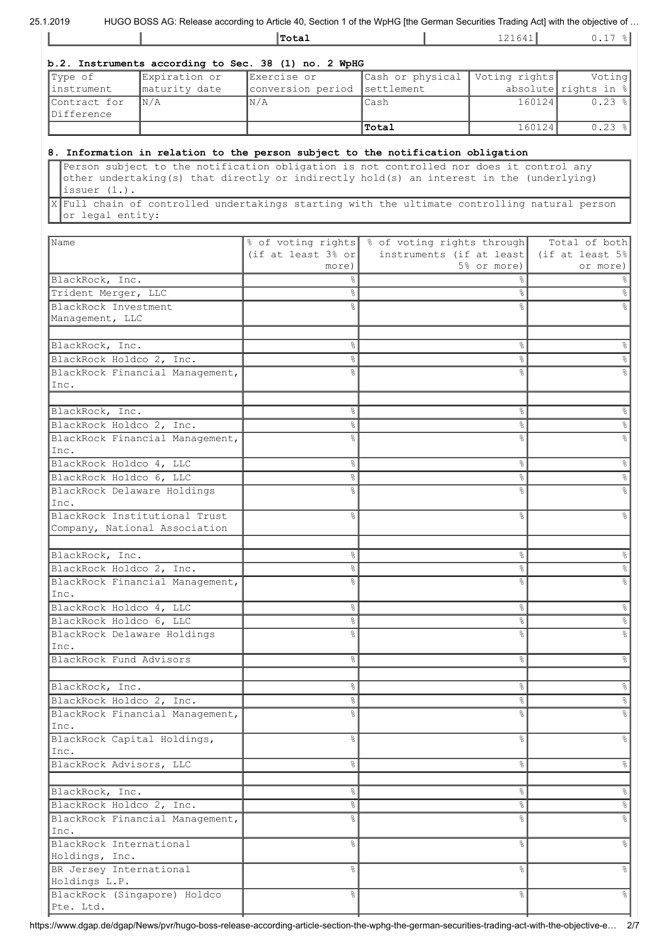|                                                    |                                                                | Total                                                                                                                                                                                                                                                                                |                                                                           | 121641        | $0.17$ $  $                                   |
|----------------------------------------------------|----------------------------------------------------------------|--------------------------------------------------------------------------------------------------------------------------------------------------------------------------------------------------------------------------------------------------------------------------------------|---------------------------------------------------------------------------|---------------|-----------------------------------------------|
|                                                    |                                                                | b.2. Instruments according to Sec. 38 (1) no. 2 WpHG                                                                                                                                                                                                                                 |                                                                           |               |                                               |
| Type of                                            | Expiration or                                                  | Exercise or                                                                                                                                                                                                                                                                          | Cash or physical                                                          | Voting rights | Voting                                        |
| instrument                                         | maturity date                                                  | conversion period                                                                                                                                                                                                                                                                    | settlement                                                                |               | absolute rights in $%$                        |
| Contract for<br>Difference                         | N/A                                                            | N/A                                                                                                                                                                                                                                                                                  | Cash                                                                      |               | 160124<br>$0.23$ %                            |
|                                                    |                                                                |                                                                                                                                                                                                                                                                                      | Total                                                                     |               | 160124<br>0.23%                               |
|                                                    |                                                                | 8. Information in relation to the person subject to the notification obligation                                                                                                                                                                                                      |                                                                           |               |                                               |
| issuer $(1.)$ .<br>or legal entity:                |                                                                | Person subject to the notification obligation is not controlled nor does it control any<br>other undertaking(s) that directly or indirectly hold(s) an interest in the (underlying)<br>X Full chain of controlled undertakings starting with the ultimate controlling natural person |                                                                           |               |                                               |
|                                                    |                                                                |                                                                                                                                                                                                                                                                                      |                                                                           |               |                                               |
| Name                                               |                                                                | (if at least $3\frac{6}{3}$ or<br>more)                                                                                                                                                                                                                                              | % of voting rights % of voting rights through<br>instruments (if at least | 5% or more)   | Total of both<br>(if at least 5%)<br>or more) |
| BlackRock, Inc.                                    |                                                                | 옹                                                                                                                                                                                                                                                                                    |                                                                           |               |                                               |
| Trident Merger, LLC                                |                                                                | $\frac{6}{5}$                                                                                                                                                                                                                                                                        |                                                                           | °             |                                               |
| BlackRock Investment                               |                                                                |                                                                                                                                                                                                                                                                                      |                                                                           |               |                                               |
| Management, LLC                                    |                                                                |                                                                                                                                                                                                                                                                                      |                                                                           |               |                                               |
| BlackRock, Inc.                                    |                                                                | 옹                                                                                                                                                                                                                                                                                    |                                                                           | s,            |                                               |
| BlackRock Holdco 2, Inc.                           |                                                                | °                                                                                                                                                                                                                                                                                    |                                                                           | $\%$          |                                               |
|                                                    | BlackRock Financial Management,                                |                                                                                                                                                                                                                                                                                      |                                                                           | ٥Ŗ            |                                               |
| Inc.                                               |                                                                |                                                                                                                                                                                                                                                                                      |                                                                           |               |                                               |
| BlackRock, Inc.                                    |                                                                | 옹                                                                                                                                                                                                                                                                                    |                                                                           | s,            |                                               |
| BlackRock Holdco 2, Inc.                           |                                                                | ⊱                                                                                                                                                                                                                                                                                    |                                                                           | s,            |                                               |
|                                                    | BlackRock Financial Management,                                | ٥Ŗ                                                                                                                                                                                                                                                                                   |                                                                           | ٥Ŗ            |                                               |
| Inc.                                               |                                                                |                                                                                                                                                                                                                                                                                      |                                                                           |               |                                               |
| BlackRock Holdco 4, LLC<br>BlackRock Holdco 6, LLC |                                                                | 옹<br>°                                                                                                                                                                                                                                                                               |                                                                           | °<br>$\%$     |                                               |
|                                                    | BlackRock Delaware Holdings                                    | ٩,                                                                                                                                                                                                                                                                                   |                                                                           | $\approx$     |                                               |
| Inc.                                               |                                                                |                                                                                                                                                                                                                                                                                      |                                                                           |               |                                               |
|                                                    | BlackRock Institutional Trust<br>Company, National Association | $\frac{8}{6}$                                                                                                                                                                                                                                                                        |                                                                           | ⊱             |                                               |
| BlackRock, Inc.                                    |                                                                | 옹                                                                                                                                                                                                                                                                                    |                                                                           | s,            |                                               |
| BlackRock Holdco 2, Inc.                           |                                                                | °                                                                                                                                                                                                                                                                                    |                                                                           | °             |                                               |
| Inc.                                               | BlackRock Financial Management,                                | ℅                                                                                                                                                                                                                                                                                    |                                                                           | g             |                                               |
| BlackRock Holdco 4, LLC                            |                                                                | &                                                                                                                                                                                                                                                                                    |                                                                           | $\%$          |                                               |
| BlackRock Holdco 6, LLC                            |                                                                | °                                                                                                                                                                                                                                                                                    |                                                                           | °             |                                               |
|                                                    | BlackRock Delaware Holdings                                    | ٩,                                                                                                                                                                                                                                                                                   |                                                                           | &             |                                               |
| Inc.<br>BlackRock Fund Advisors                    |                                                                | 옹                                                                                                                                                                                                                                                                                    |                                                                           | $\approx$     |                                               |
|                                                    |                                                                |                                                                                                                                                                                                                                                                                      |                                                                           |               |                                               |
| BlackRock, Inc.                                    |                                                                | 옹                                                                                                                                                                                                                                                                                    |                                                                           | &             |                                               |
| BlackRock Holdco 2, Inc.                           |                                                                | $\frac{6}{5}$<br>⊱                                                                                                                                                                                                                                                                   |                                                                           | $\%$<br>÷,    |                                               |
| Inc.                                               | BlackRock Financial Management,                                |                                                                                                                                                                                                                                                                                      |                                                                           |               |                                               |
| BlackRock Capital Holdings,<br>Inc.                |                                                                | g.                                                                                                                                                                                                                                                                                   |                                                                           | &             |                                               |
| BlackRock Advisors, LLC                            |                                                                | 옹                                                                                                                                                                                                                                                                                    |                                                                           | g.            |                                               |
|                                                    |                                                                |                                                                                                                                                                                                                                                                                      |                                                                           |               |                                               |
| BlackRock, Inc.<br>BlackRock Holdco 2, Inc.        |                                                                | 옹                                                                                                                                                                                                                                                                                    |                                                                           | $\%$          |                                               |
|                                                    | BlackRock Financial Management,                                | °<br>옹                                                                                                                                                                                                                                                                               |                                                                           | $\%$<br>o6    |                                               |
| Inc.<br>BlackRock International                    |                                                                | $\frac{6}{2}$                                                                                                                                                                                                                                                                        |                                                                           | $\%$          |                                               |
| Holdings, Inc.                                     |                                                                |                                                                                                                                                                                                                                                                                      |                                                                           |               |                                               |
| BR Jersey International<br>Holdings L.P.           |                                                                | 옹                                                                                                                                                                                                                                                                                    |                                                                           | ٩,            |                                               |
| Pte. Ltd.                                          | BlackRock (Singapore) Holdco                                   | 옹                                                                                                                                                                                                                                                                                    |                                                                           | °             |                                               |

https://www.dgap.de/dgap/News/pvr/hugo-boss-release-according-article-section-the-wphg-the-german-securities-trading-act-with-the-objective-e… 2/7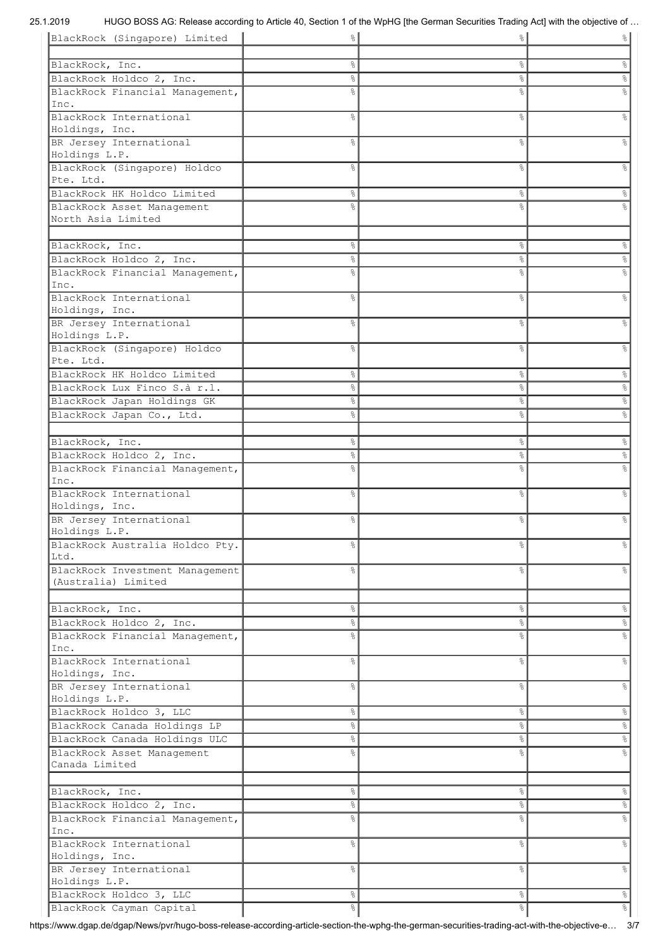| BlackRock (Singapore) Limited           | 응              | ို             | $\frac{8}{6}$        |
|-----------------------------------------|----------------|----------------|----------------------|
|                                         |                |                |                      |
| BlackRock, Inc.                         | ٥ę             | $\%$           | $\%$                 |
| BlackRock Holdco 2, Inc.                | e<br>8         | $\%$           | $\frac{1}{\sqrt{2}}$ |
| BlackRock Financial Management,         | ٩,             | $\frac{6}{6}$  |                      |
| Inc.                                    |                |                |                      |
| BlackRock International                 | ٩,             | $\approx$      | $\approx$            |
| Holdings, Inc.                          |                |                |                      |
| BR Jersey International                 | 옹              | &              | &                    |
| Holdings L.P.                           |                |                |                      |
| BlackRock (Singapore) Holdco            | ٩,             | $\frac{6}{6}$  | g                    |
| Pte. Ltd.                               |                |                |                      |
| BlackRock HK Holdco Limited             | 응              | &              | &                    |
| BlackRock Asset Management              | ٥Ŗ             | $\frac{6}{6}$  |                      |
| North Asia Limited                      |                |                |                      |
|                                         |                |                |                      |
| BlackRock, Inc.                         | e<br>8         | &              | $\%$                 |
| BlackRock Holdco 2, Inc.                | $\frac{8}{6}$  | &              | $\%$                 |
|                                         |                |                |                      |
| BlackRock Financial Management,<br>Inc. | ٩,             | $\frac{6}{10}$ | $\frac{1}{\sqrt{2}}$ |
|                                         |                |                |                      |
| BlackRock International                 | 옹              | $\frac{6}{6}$  | g<br>8               |
| Holdings, Inc.                          |                |                |                      |
| BR Jersey International                 | 욲              | $\frac{6}{6}$  | $\frac{6}{10}$       |
| Holdings L.P.                           |                |                |                      |
| BlackRock (Singapore) Holdco            | ٩,             | $\frac{6}{6}$  | $\frac{6}{5}$        |
| Pte. Ltd.                               |                |                |                      |
| BlackRock HK Holdco Limited             | o.             | $\%$           | $\%$                 |
| BlackRock Lux Finco S.à r.l.            | o.             | $\%$           | $\frac{1}{\sqrt{2}}$ |
| BlackRock Japan Holdings GK             | ٩,             | $\%$           | $\frac{1}{\sqrt{2}}$ |
| BlackRock Japan Co., Ltd.               | ٩,             | $\frac{6}{6}$  | $\frac{6}{5}$        |
|                                         |                |                |                      |
| BlackRock, Inc.                         | o <sub>o</sub> | $\%$           | $\%$                 |
| BlackRock Holdco 2, Inc.                | o.             | $\%$           | $\frac{1}{\sqrt{2}}$ |
| BlackRock Financial Management,         | 응              | $\approx$      | ٩,                   |
| Inc.                                    |                |                |                      |
| BlackRock International                 | 옹              | &              | g                    |
| Holdings, Inc.                          |                |                |                      |
| BR Jersey International                 | g              | &              | g                    |
| Holdings L.P.                           |                |                |                      |
| BlackRock Australia Holdco Pty.         | ⊱              | ိင             | °                    |
| Ltd.                                    |                |                |                      |
| BlackRock Investment Management         | ⊱              | &              | $\approx$            |
| (Australia) Limited                     |                |                |                      |
|                                         |                |                |                      |
| BlackRock, Inc.                         | °              | $\%$           | $\frac{1}{6}$        |
| BlackRock Holdco 2, Inc.                | 옹              | $\%$           | $\%$                 |
| BlackRock Financial Management,         |                | $\frac{6}{6}$  |                      |
|                                         | o.             |                | $\%$                 |
| Inc.                                    |                |                |                      |
| BlackRock International                 | 옹              | $\%$           | $\frac{6}{5}$        |
| Holdings, Inc.                          |                |                |                      |
| BR Jersey International                 | 옹              | $\%$           | °                    |
| Holdings L.P.                           |                |                |                      |
| BlackRock Holdco 3, LLC                 | 옹              | $\%$           | $\%$                 |
| BlackRock Canada Holdings LP            | °              | $\%$           | $\frac{6}{\sqrt{2}}$ |
| BlackRock Canada Holdings ULC           | o.             | $\%$           | $\frac{1}{\sqrt{2}}$ |
| BlackRock Asset Management              | o<br>R         | $\frac{6}{6}$  | $\frac{6}{5}$        |
| Canada Limited                          |                |                |                      |
|                                         |                |                |                      |
| BlackRock, Inc.                         | 옹              | $\%$           | $\frac{1}{6}$        |
| BlackRock Holdco 2, Inc.                | 옹              | $\%$           | $^{\circ}$           |
| BlackRock Financial Management,         | 응              | $\frac{6}{6}$  | $\%$                 |
| Inc.                                    |                |                |                      |
| BlackRock International                 | g              | $\%$           | &                    |
| Holdings, Inc.                          |                |                |                      |
| BR Jersey International                 | 응              | $\frac{6}{6}$  | °                    |
| Holdings L.P.                           |                |                |                      |
| BlackRock Holdco 3, LLC                 | °              | $\%$           | $\infty$             |
| BlackRock Cayman Capital                | 옹              | $\%$           | $\frac{1}{6}$        |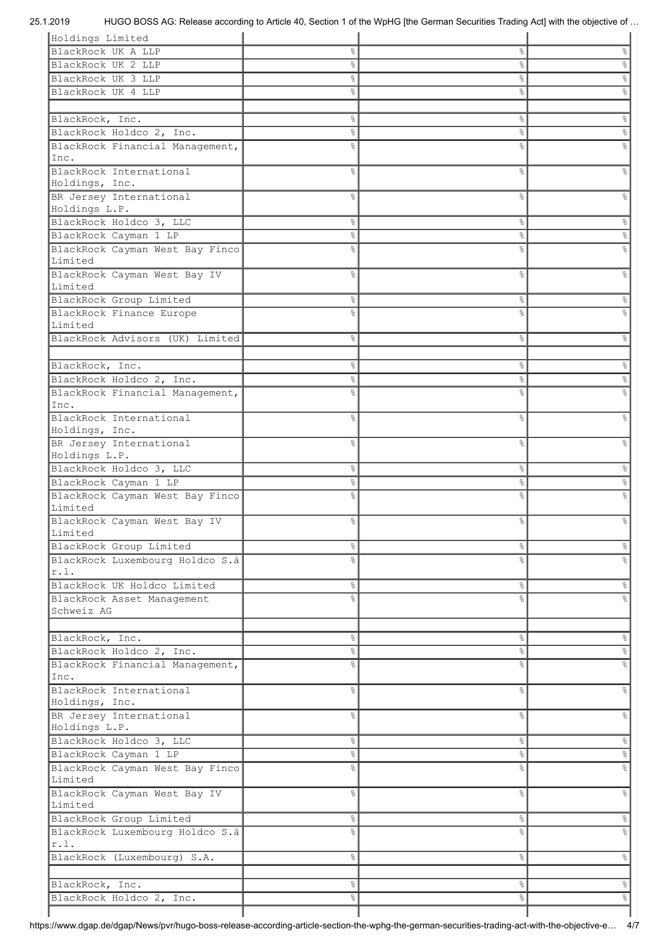# 25.1.2019 HUGO BOSS AG: Release according to Article 40, Section 1 of the WpHG [the German Securities Trading Act] with the objective of …

| Holdings Limited                        |                |                |                           |
|-----------------------------------------|----------------|----------------|---------------------------|
| BlackRock UK A LLP                      | ⊱              | $\frac{6}{6}$  | &                         |
| BlackRock UK 2 LLP                      | e<br>8         | $\%$           | $\%$                      |
| BlackRock UK 3 LLP                      | ⊱              | နွ             | $\%$                      |
|                                         |                |                |                           |
| BlackRock UK 4 LLP                      | ٥ę             | &              | e<br>S                    |
|                                         |                |                |                           |
| BlackRock, Inc.                         | e<br>8         | $\%$           | $\ensuremath{\mathsf{S}}$ |
| BlackRock Holdco 2, Inc.                | e<br>8         | $\%$           | $\%$                      |
| BlackRock Financial Management,         | ⊱              | $\frac{6}{2}$  | $\approx$                 |
| Inc.                                    |                |                |                           |
| BlackRock International                 | ٩,             | &              | g.                        |
|                                         |                |                |                           |
| Holdings, Inc.                          |                |                |                           |
| BR Jersey International                 | 옹              | &              | နွ                        |
| Holdings L.P.                           |                |                |                           |
| BlackRock Holdco 3, LLC                 | 옹              | $\frac{6}{6}$  | &                         |
| BlackRock Cayman 1 LP                   | o <sub>o</sub> | &              | °                         |
| BlackRock Cayman West Bay Finco         | g              | o <sub>o</sub> | e<br>8                    |
| Limited                                 |                |                |                           |
| BlackRock Cayman West Bay IV            | ٩,             | $\frac{6}{6}$  | $\%$                      |
| Limited                                 |                |                |                           |
|                                         |                |                |                           |
| BlackRock Group Limited                 | 옹              | နွ             | 응                         |
| BlackRock Finance Europe                | ⊱              | ٥Ŗ             | ٥Ŗ                        |
| Limited                                 |                |                |                           |
| BlackRock Advisors (UK) Limited         | 옹              | $\frac{6}{6}$  | $\frac{6}{5}$             |
|                                         |                |                |                           |
| BlackRock, Inc.                         | 옹              | $\frac{8}{6}$  | $\%$                      |
|                                         |                |                |                           |
| BlackRock Holdco 2, Inc.                | 옹              | &              | $\%$                      |
| BlackRock Financial Management,         | °              | ٥Ŗ             | $\frac{6}{10}$            |
| Inc.                                    |                |                |                           |
| BlackRock International                 | ٥Ŗ             | o <sub>o</sub> | $\frac{6}{5}$             |
| Holdings, Inc.                          |                |                |                           |
| BR Jersey International                 | ٥Ŗ             | $\frac{6}{2}$  | $\frac{6}{5}$             |
| Holdings L.P.                           |                |                |                           |
| BlackRock Holdco 3, LLC                 | 옹              | $\frac{6}{6}$  | 응                         |
| BlackRock Cayman 1 LP                   | ٥ę             | နွ             | °                         |
|                                         |                |                |                           |
| BlackRock Cayman West Bay Finco         | 응              | g<br>6         | ٩,                        |
| Limited                                 |                |                |                           |
| BlackRock Cayman West Bay IV            |                | 8              |                           |
|                                         | ⊱              |                | g                         |
| Limited                                 |                |                |                           |
| BlackRock Group Limited                 | °              | &              | $\frac{8}{6}$             |
|                                         | ٥Ŗ             | ٥Ŗ             | ٩,                        |
| BlackRock Luxembourg Holdco S.à<br>r.l. |                |                |                           |
|                                         |                |                |                           |
| BlackRock UK Holdco Limited             | o.             | $\%$           | $\frac{6}{5}$             |
| BlackRock Asset Management              | ٩,             | $\frac{1}{2}$  | ٩,                        |
| Schweiz AG                              |                |                |                           |
|                                         |                |                |                           |
| BlackRock, Inc.                         | 옹              | $\%$           | $\frac{6}{6}$             |
| BlackRock Holdco 2, Inc.                | °              | °              | $\%$                      |
|                                         | ٩,             | o <sub>o</sub> | $\%$                      |
| BlackRock Financial Management,<br>Inc. |                |                |                           |
|                                         |                |                |                           |
| BlackRock International                 | 옹              | $\%$           | $\frac{6}{5}$             |
| Holdings, Inc.                          |                |                |                           |
| BR Jersey International                 | 옹              | $\%$           | $\frac{1}{6}$             |
| Holdings L.P.                           |                |                |                           |
| BlackRock Holdco 3, LLC                 | o.             | $\%$           | $\frac{6}{5}$             |
| BlackRock Cayman 1 LP                   | o.             | $\%$           | $\%$                      |
| BlackRock Cayman West Bay Finco         | ٥Ŗ             | o <sub>o</sub> | $\%$                      |
| Limited                                 |                |                |                           |
|                                         | 옹              | $\%$           | $\frac{6}{6}$             |
| BlackRock Cayman West Bay IV<br>Limited |                |                |                           |
|                                         |                |                |                           |
| BlackRock Group Limited                 | 옹              | $\%$           | $\%$                      |
| BlackRock Luxembourg Holdco S.à         | ٥Ŗ             | o <sub>o</sub> | g<br>8                    |
| r.l.                                    |                |                |                           |
| BlackRock (Luxembourg) S.A.             | ٥ę             | $\%$           | &                         |
|                                         |                |                |                           |
| BlackRock, Inc.                         | 응              | နွ             | $\frac{1}{6}$             |
|                                         | 옹              | နွ             | 응                         |
| BlackRock Holdco 2, Inc.                |                |                |                           |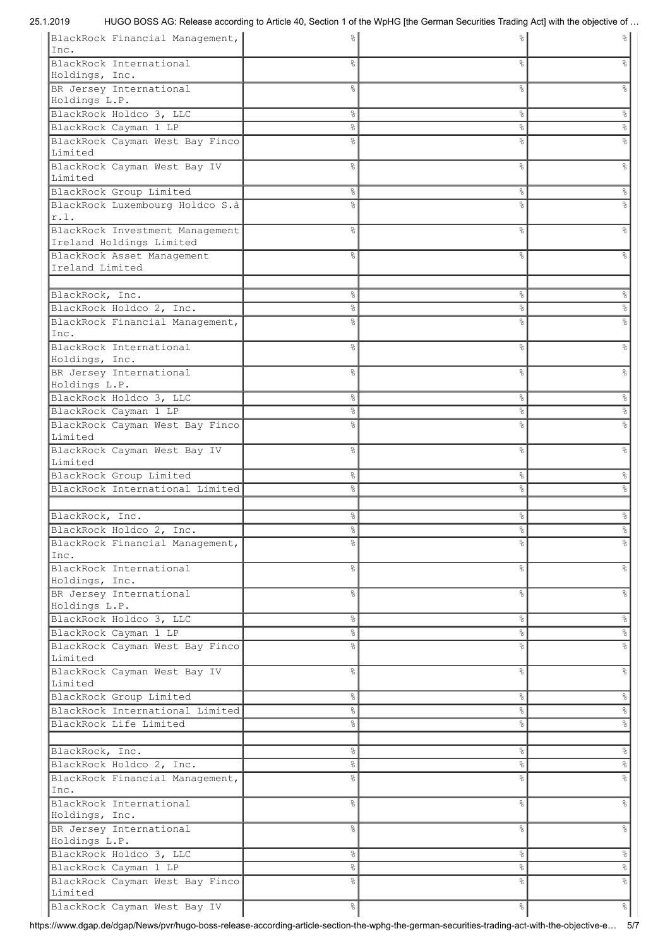## 25.1.2019 HUGO BOSS AG: Release according to Article 40, Section 1 of the WpHG [the German Securities Trading Act] with the objective of …

| BlackRock Financial Management,             |                 | ⊱              | $\frac{1}{6}$                  |
|---------------------------------------------|-----------------|----------------|--------------------------------|
| Inc.                                        |                 |                |                                |
| BlackRock International<br>Holdings, Inc.   | ⊱               | ٩,             | $\approx$                      |
| BR Jersey International                     | ٩,              | &              | $\frac{6}{5}$                  |
| Holdings L.P.                               |                 |                |                                |
| BlackRock Holdco 3, LLC                     | $\frac{6}{6}$   | &              | $\epsilon$                     |
| BlackRock Cayman 1 LP                       | $\frac{6}{6}$   | °              | °                              |
| BlackRock Cayman West Bay Finco             | °               | ٩,             | န့                             |
| Limited                                     |                 |                |                                |
| BlackRock Cayman West Bay IV                | ٩,              | 8              | $\%$                           |
| Limited<br>BlackRock Group Limited          | $\frac{6}{\pi}$ | &              | °                              |
| BlackRock Luxembourg Holdco S.à             | ٥Ŗ              | $\frac{6}{10}$ | o,                             |
| r.1.                                        |                 |                |                                |
| BlackRock Investment Management             | ٩,              | $\frac{1}{2}$  | $\%$                           |
| Ireland Holdings Limited                    |                 |                |                                |
| BlackRock Asset Management                  | ℅               | ٥Ŗ             | $\approx$                      |
| Ireland Limited                             |                 |                |                                |
|                                             |                 |                |                                |
| BlackRock, Inc.<br>BlackRock Holdco 2, Inc. | 옹<br>옹          | s,<br>s,       | $\frac{6}{5}$<br>$\frac{6}{5}$ |
| BlackRock Financial Management,             |                 | $\frac{6}{5}$  | $\approx$                      |
| Inc.                                        |                 |                |                                |
| BlackRock International                     | ٩,              | $\frac{6}{10}$ | $\%$                           |
| Holdings, Inc.                              |                 |                |                                |
| BR Jersey International                     | ⊱               | $\frac{1}{2}$  | $\frac{6}{10}$                 |
| Holdings L.P.                               |                 |                |                                |
| BlackRock Holdco 3, LLC                     | $\frac{6}{6}$   | &              | $\epsilon$                     |
| BlackRock Cayman 1 LP                       | 옹               | &              | °                              |
| BlackRock Cayman West Bay Finco<br>Limited  |                 | ٥Ŗ             | $\approx$                      |
| BlackRock Cayman West Bay IV                | ٩,              | 8              | g.                             |
| Limited                                     |                 |                |                                |
| BlackRock Group Limited                     | 옹               | &              | °                              |
| BlackRock International Limited             |                 | 8              | o,                             |
|                                             |                 |                |                                |
| BlackRock, Inc.                             | 옹               | နွ             | %                              |
| BlackRock Holdco 2, Inc.                    | 옹               | g              | °                              |
| BlackRock Financial Management,<br>Inc.     | ిక              | 옹              | $\frac{1}{6}$                  |
| BlackRock International                     | ⊱               | ٩,             | $\%$                           |
| Holdings, Inc.                              |                 |                |                                |
| BR Jersey International                     | $\frac{6}{6}$   | o <sub>o</sub> | $\frac{6}{5}$                  |
| Holdings L.P.                               |                 |                |                                |
| BlackRock Holdco 3, LLC                     | $\frac{6}{5}$   | $\%$           | $\frac{6}{5}$                  |
| BlackRock Cayman 1 LP                       | $\%$            | $\%$           | $\%$                           |
| BlackRock Cayman West Bay Finco             | ٩,              | o <sub>o</sub> | $\%$                           |
| Limited<br>BlackRock Cayman West Bay IV     | $\frac{6}{5}$   | $\%$           | $\ensuremath{\mathsf{S}}$      |
| Limited                                     |                 |                |                                |
| BlackRock Group Limited                     | $\frac{6}{5}$   | $\%$           | $\frac{6}{5}$                  |
| BlackRock International Limited             | $\frac{6}{6}$   | °              | $\%$                           |
| BlackRock Life Limited                      | ٩,              | &              | $\ensuremath{\mathsf{S}}$      |
|                                             |                 |                |                                |
| BlackRock, Inc.                             | $\frac{6}{5}$   | o6             | $\infty$                       |
| BlackRock Holdco 2, Inc.                    | $\frac{6}{6}$   | &              | $\infty$                       |
| BlackRock Financial Management,             | ٩,              | o <sub>o</sub> | $\ensuremath{\mathsf{S}}$      |
| Inc.<br>BlackRock International             | $\frac{6}{6}$   | o <sub>o</sub> | $\frac{6}{5}$                  |
| Holdings, Inc.                              |                 |                |                                |
| BR Jersey International                     | 옹               | o <sub>o</sub> | $\%$                           |
| Holdings L.P.                               |                 |                |                                |
| BlackRock Holdco 3, LLC                     | $\frac{6}{5}$   | &              | $\%$                           |
| BlackRock Cayman 1 LP                       | 옹               | &              | $\frac{1}{6}$                  |
| BlackRock Cayman West Bay Finco             | 옹               | g<br>6         | န့                             |
| Limited                                     |                 |                |                                |
| BlackRock Cayman West Bay IV                | $\%$            | နွ             | $\%$                           |

https://www.dgap.de/dgap/News/pvr/hugo-boss-release-according-article-section-the-wphg-the-german-securities-trading-act-with-the-objective-e… 5/7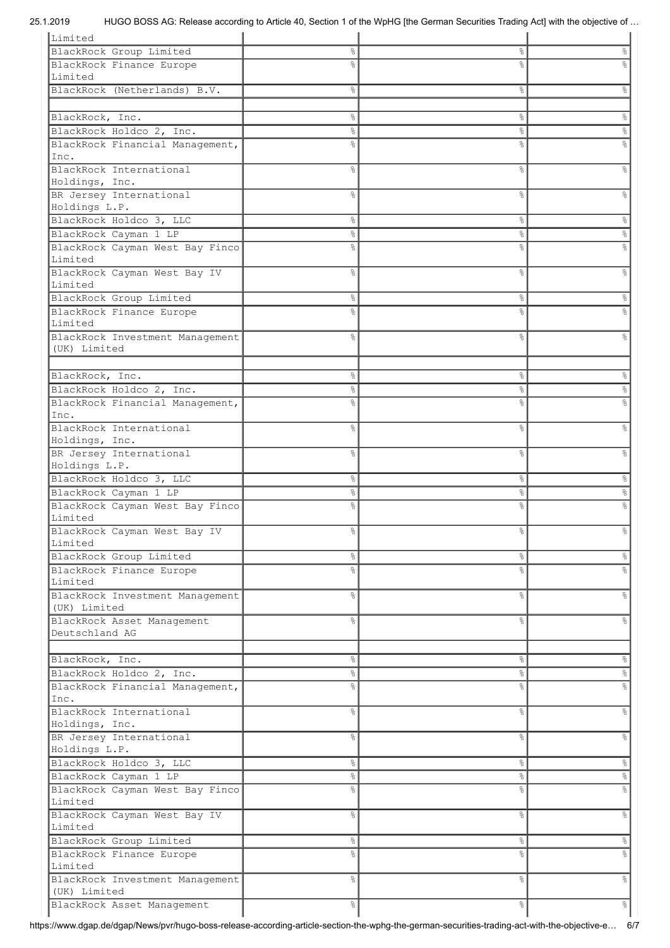| Limited                                         |               |                |               |
|-------------------------------------------------|---------------|----------------|---------------|
| BlackRock Group Limited                         | 옹             | &              | &             |
| BlackRock Finance Europe                        | 응             | ٥Ŗ             |               |
| Limited                                         |               |                |               |
| BlackRock (Netherlands) B.V.                    | 옹             | &              | e<br>8        |
|                                                 |               |                |               |
|                                                 |               |                |               |
| BlackRock, Inc.                                 | °             | $\%$           | 응             |
| BlackRock Holdco 2, Inc.                        | e<br>8        | s,             | °             |
| BlackRock Financial Management,                 | ⊱             | &              | e<br>8        |
| Inc.                                            |               |                |               |
| BlackRock International                         | ⊱             | &              | 옹             |
| Holdings, Inc.                                  |               |                |               |
| BR Jersey International                         | g             | &              | g             |
| Holdings L.P.                                   |               |                |               |
| BlackRock Holdco 3, LLC                         | 옹             | $\%$           | %             |
| BlackRock Cayman 1 LP                           | 옹             | $\%$           | °             |
| BlackRock Cayman West Bay Finco                 | 욲             | 8              | 응             |
| Limited                                         |               |                |               |
| BlackRock Cayman West Bay IV                    | g.            | $\%$           | &             |
| Limited                                         |               |                |               |
| BlackRock Group Limited                         | ွေ            | ိင             | g.            |
| BlackRock Finance Europe                        |               | g,             |               |
| Limited                                         |               |                |               |
| BlackRock Investment Management                 | ⊱             | $\frac{6}{5}$  |               |
| (UK) Limited                                    |               |                |               |
|                                                 |               |                |               |
| BlackRock, Inc.                                 | 옹             | $\%$           | 옹             |
|                                                 |               |                |               |
| BlackRock Holdco 2, Inc.                        | ٥ę            | နွ             | s,            |
| BlackRock Financial Management,                 | °             | 8              |               |
| Inc.                                            |               |                |               |
| BlackRock International                         | g.            | &              | g             |
| Holdings, Inc.                                  |               |                |               |
| BR Jersey International                         | ⊱             | &              | g             |
|                                                 |               |                |               |
| Holdings L.P.                                   |               |                |               |
| BlackRock Holdco 3, LLC                         | 응             | $\%$           | 옹             |
| BlackRock Cayman 1 LP                           | ⊱             | နွ             | s,            |
| BlackRock Cayman West Bay Finco                 |               | 8              | g             |
| Limited                                         |               |                |               |
| BlackRock Cayman West Bay IV                    | 응             | နွ             | ⊱             |
| Limited                                         |               |                |               |
| BlackRock Group Limited                         | $\frac{6}{3}$ | ိင             | 응             |
| BlackRock Finance Europe                        | ⊱             | o <sub>o</sub> | g             |
| Limited                                         |               |                |               |
|                                                 | 옹             | &              | နွ            |
| BlackRock Investment Management<br>(UK) Limited |               |                |               |
|                                                 |               |                |               |
| BlackRock Asset Management<br>Deutschland AG    | g             | 8              | e<br>8        |
|                                                 |               |                |               |
|                                                 |               |                |               |
| BlackRock, Inc.                                 | 옹             | $\%$           | &             |
| BlackRock Holdco 2, Inc.                        | 응             | နွ             | °             |
| BlackRock Financial Management,                 | ⊱             | 8              | e<br>8        |
| Inc.                                            |               |                |               |
| BlackRock International                         | 옹             | &              | g.            |
| Holdings, Inc.                                  |               |                |               |
| BR Jersey International                         | ٥Ŗ            | 8              | နွ            |
| Holdings L.P.                                   |               |                |               |
| BlackRock Holdco 3, LLC                         | °             | $\%$           | %             |
| BlackRock Cayman 1 LP                           | 옹             | $\%$           | °             |
| BlackRock Cayman West Bay Finco                 | ⊱             | g<br>6         | 응             |
| Limited                                         |               |                |               |
| BlackRock Cayman West Bay IV                    | ٥Ŗ            | &              | o,            |
| Limited                                         |               |                |               |
| BlackRock Group Limited                         | °             | $\%$           | $\frac{6}{6}$ |
| BlackRock Finance Europe                        | ٩,            | o <sub>o</sub> | e<br>8        |
| Limited                                         |               |                |               |
| BlackRock Investment Management                 | ⊱             | &              | o,            |
| (UK) Limited                                    |               |                |               |